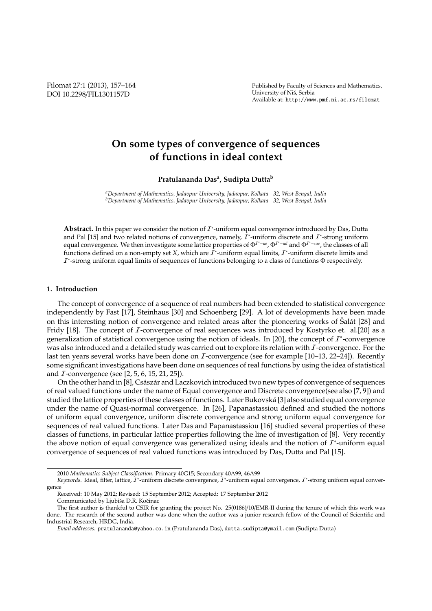Filomat 27:1 (2013), 157–164 DOI 10.2298/FIL1301157D

Published by Faculty of Sciences and Mathematics, University of Niš, Serbia Available at: http://www.pmf.ni.ac.rs/filomat

# **On some types of convergence of sequences of functions in ideal context**

**Pratulananda Das<sup>a</sup> , Sudipta Dutta<sup>b</sup>**

*<sup>a</sup>Department of Mathematics, Jadavpur University, Jadavpur, Kolkata - 32, West Bengal, India <sup>b</sup>Department of Mathematics, Jadavpur University, Jadavpur, Kolkata - 32, West Bengal, India*

Abstract. In this paper we consider the notion of  $I^*$ -uniform equal convergence introduced by Das, Dutta and Pal [15] and two related notions of convergence, namely,  $I^*$ -uniform discrete and  $I^*$ -strong uniform equal convergence. We then investigate some lattice properties of Φ<sup>T\*</sup><sup>-*ue*</sup>, Φ<sup>T\*</sup><sup>-*ud*</sup> and Φ<sup>T\*</sup><sup>-sue</sup>, the classes of all functions defined on a non-empty set *X*, which are  $I^*$ -uniform equal limits,  $I^*$ -uniform discrete limits and  $I^*$ -strong uniform equal limits of sequences of functions belonging to a class of functions  $\Phi$  respectively.

## **1. Introduction**

The concept of convergence of a sequence of real numbers had been extended to statistical convergence independently by Fast [17], Steinhaus [30] and Schoenberg [29]. A lot of developments have been made on this interesting notion of convergence and related areas after the pioneering works of Šalát [28] and Fridy [18]. The concept of  $I$ -convergence of real sequences was introduced by Kostyrko et. al.[20] as a generalization of statistical convergence using the notion of ideals. In [20], the concept of  $I^*$ -convergence was also introduced and a detailed study was carried out to explore its relation with I-convergence. For the last ten years several works have been done on  $I$ -convergence (see for example [10–13, 22–24]). Recently some significant investigations have been done on sequences of real functions by using the idea of statistical and  $I$ -convergence (see [2, 5, 6, 15, 21, 25]).

On the other hand in [8], Császár and Laczkovich introduced two new types of convergence of sequences of real valued functions under the name of Equal convergence and Discrete convergence(see also [7, 9]) and studied the lattice properties of these classes of functions. Later Bukovska [3] also studied equal convergence ´ under the name of Quasi-normal convergence. In [26], Papanastassiou defined and studied the notions of uniform equal convergence, uniform discrete convergence and strong uniform equal convergence for sequences of real valued functions. Later Das and Papanastassiou [16] studied several properties of these classes of functions, in particular lattice properties following the line of investigation of [8]. Very recently the above notion of equal convergence was generalized using ideals and the notion of  $I^*$ -uniform equal convergence of sequences of real valued functions was introduced by Das, Dutta and Pal [15].

Received: 10 May 2012; Revised: 15 September 2012; Accepted: 17 September 2012 Communicated by Ljubiša D.R. Kočinac

<sup>2010</sup> *Mathematics Subject Classification*. Primary 40G15; Secondary 40A99, 46A99

Keywords. Ideal, filter, lattice, *I*\*-uniform discrete convergence, *I*\*-uniform equal convergence, *I*\*-strong uniform equal convergence

The first author is thankful to CSIR for granting the project No. 25(0186)/10/EMR-II during the tenure of which this work was done. The research of the second author was done when the author was a junior research fellow of the Council of Scientific and Industrial Research, HRDG, India.

*Email addresses:* pratulananda@yahoo.co.in (Pratulananda Das), dutta.sudipta@ymail.com (Sudipta Dutta)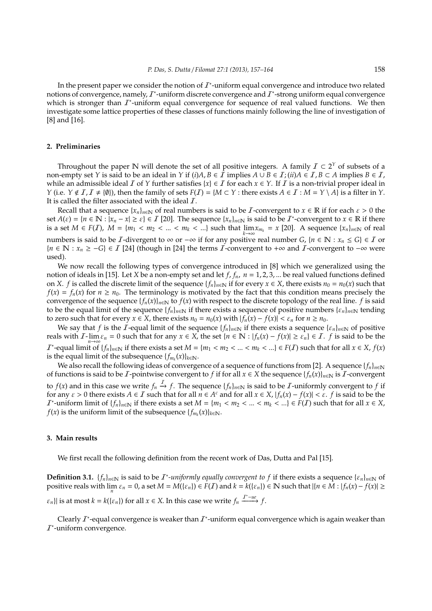In the present paper we consider the notion of  $I^*$ -uniform equal convergence and introduce two related notions of convergence, namely,  $I^*$ -uniform discrete convergence and  $I^*$ -strong uniform equal convergence which is stronger than  $I^*$ -uniform equal convergence for sequence of real valued functions. We then investigate some lattice properties of these classes of functions mainly following the line of investigation of [8] and [16].

## **2. Preliminaries**

Throughout the paper N will denote the set of all positive integers. A family  $\mathcal{I} \subset 2^{\gamma}$  of subsets of a non-empty set *Y* is said to be an ideal in *Y* if  $(i)A, B \in I$  implies  $A \cup B \in I$ ;  $(ii)A \in I, B \subset A$  implies  $B \in I$ , while an admissible ideal I of *Y* further satisfies  $\{x\} \in I$  for each  $x \in Y$ . If I is a non-trivial proper ideal in *Y* (i.e.  $Y \notin I, I \neq \{0\}$ ), then the family of sets  $F(I) = \{M \subset Y : \text{there exists } A \in I : M = Y \setminus A\}$  is a filter in *Y*. It is called the filter associated with the ideal  $I$ .

Recall that a sequence  $\{x_n\}_{n\in\mathbb{N}}$  of real numbers is said to be *I*-convergent to  $x \in \mathbb{R}$  if for each  $\varepsilon > 0$  the set  $A(\varepsilon) = \{n \in \mathbb{N} : |\overline{x}_n - x| \ge \varepsilon\} \in \mathcal{I}$  [20]. The sequence  $\{x_n\}_{n \in \mathbb{N}}$  is said to be  $\mathcal{I}^*$ -convergent to  $x \in \mathbb{R}$  if there is a set  $M \in F(I)$ ,  $M = \{m_1 < m_2 < \ldots < m_k < \ldots\}$  such that  $\lim_{k \to \infty} x_{m_k} = x$  [20]. A sequence  $\{x_n\}_{n \in \mathbb{N}}$  of real numbers is said to be *I*-divergent to ∞ or  $-\infty$  if for any positive real number *G*, {*n* ∈ N : *x<sub>n</sub>* ≤ *G*} ∈ *I* or  ${n \in \mathbb{N} : x_n \ge -G} \in I$  [24] (though in [24] the terms *I*-convergent to +∞ and *I*-convergent to -∞ were used).

We now recall the following types of convergence introduced in [8] which we generalized using the notion of ideals in [15]. Let *X* be a non-empty set and let  $f$ ,  $f_n$ ,  $n = 1, 2, 3, ...$  be real valued functions defined on *X*. *f* is called the discrete limit of the sequence  $\{f_n\}_{n\in\mathbb{N}}$  if for every  $x \in X$ , there exists  $n_0 = n_0(x)$  such that  $f(x) = f_n(x)$  for  $n \ge n_0$ . The terminology is motivated by the fact that this condition means precisely the convergence of the sequence  $\{f_n(x)\}_{n\in\mathbb{N}}$  to  $f(x)$  with respect to the discrete topology of the real line. *f* is said to be the equal limit of the sequence  $\{f_n\}_{n\in\mathbb{N}}$  if there exists a sequence of positive numbers  $\{\varepsilon_n\}_{n\in\mathbb{N}}$  tending to zero such that for every  $x \in X$ , there exists  $n_0 = n_0(x)$  with  $|f_n(x) - f(x)| < \varepsilon_n$  for  $n \ge n_0$ .

We say that *f* is the *I*-equal limit of the sequence  $\{f_n\}_{n\in\mathbb{N}}$  if there exists a sequence  $\{\varepsilon_n\}_{n\in\mathbb{N}}$  of positive reals with  $I$ - $\lim_{n\to\infty} \varepsilon_n = 0$  such that for any  $x \in X$ , the set  $\{n \in \mathbb{N} : |f_n(x) - f(x)| \ge \varepsilon_n\} \in I$ . *f* is said to be the  $I^*$ -equal limit of  $\{f_n\}_{n\in\mathbb{N}}$  if there exists a set  $M = \{m_1 < m_2 < ... < m_k < ...\} \in F(I)$  such that for all  $x \in X$ ,  $f(x)$ is the equal limit of the subsequence  $\{f_{m_k}(x)\}_{k\in\mathbb{N}}$ .

We also recall the following ideas of convergence of a sequence of functions from [2]. A sequence  $\{f_n\}_{n\in\mathbb{N}}$ of functions is said to be I-pointwise convergent to f if for all  $x \in X$  the sequence  $\{f_n(x)\}_{n\in\mathbb{N}}$  is I-convergent to  $f(x)$  and in this case we write  $f_n \stackrel{I}{\to} f$ . The sequence  $\{f_n\}_{n \in \mathbb{N}}$  is said to be  $I$ -uniformly convergent to  $f$  if for any  $\varepsilon > 0$  there exists  $A \in \mathcal{I}$  such that for all  $n \in A^c$  and for all  $x \in X$ ,  $|f_n(x) - f(x)| < \varepsilon$ .  $f$  is said to be the  $\mathcal{I}^*$ -uniform limit of  $\{f_n\}_{n\in\mathbb{N}}$  if there exists a set  $M = \{m_1 < m_2 < ... < m_k < ...\} \in F(\mathcal{I})$  such that for all  $x \in X$ , *f*(*x*) is the uniform limit of the subsequence  $\{f_{m_k}(x)\}_{k\in\mathbb{N}}$ .

### **3. Main results**

We first recall the following definition from the recent work of Das, Dutta and Pal [15].

**Definition 3.1.**  $\{f_n\}_{n\in\mathbb{N}}$  is said to be  $I^*$ -uniformly equally convergent to f if there exists a sequence  $\{e_n\}_{n\in\mathbb{N}}$  of positive reals with  $\lim_n \varepsilon_n = 0$ , a set  $M = M(\{\varepsilon_n\}) \in F(\mathcal{I})$  and  $k = k(\{\varepsilon_n\}) \in \mathbb{N}$  such that  $|\{n \in M : |f_n(x) - f(x)| \ge$  $\{ \varepsilon_n \}$ | is at most  $k = k(\{\varepsilon_n\})$  for all  $x \in X$ . In this case we write  $f_n \xrightarrow{I^*-ue} f$ .

Clearly  $I^*$ -equal convergence is weaker than  $I^*$ -uniform equal convergence which is again weaker than  $I^*$ -uniform convergence.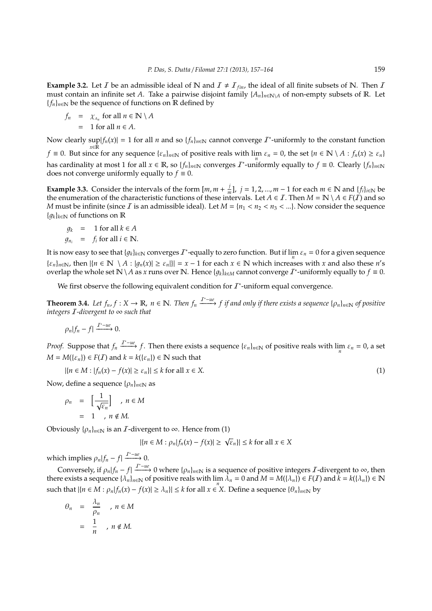**Example 3.2.** Let *I* be an admissible ideal of N and  $I \neq I_{fin}$ , the ideal of all finite subsets of N. Then *I* must contain an infinite set *A*. Take a pairwise disjoint family  $\{A_n\}_{n\in\mathbb{N}\setminus A}$  of non-empty subsets of R. Let  ${f_n}_{n \in \mathbb{N}}$  be the sequence of functions on R defined by

$$
f_n = \chi_{A_n} \text{ for all } n \in \mathbb{N} \setminus A
$$
  
= 1 for all  $n \in A$ .

Now clearly  $sup|f_n(x)| = 1$  for all *n* and so  $\{f_n\}_{n \in \mathbb{N}}$  cannot converge  $\mathcal{I}^*$ -uniformly to the constant function *f* ≡ 0. But since for any sequence  $\{\varepsilon_n\}_{n\in\mathbb{N}}$  of positive reals with  $\lim_n \varepsilon_n = 0$ , the set  $\{n \in \mathbb{N} \setminus A : f_n(x) \ge \varepsilon_n\}$ 

has cardinality at most 1 for all  $x \in \mathbb{R}$ , so  $\{f_n\}_{n \in \mathbb{N}}$  converges  $\mathcal{I}^*$ -uniformly equally to  $f \equiv 0$ . Clearly  $\{f_n\}_{n \in \mathbb{N}}$ does not converge uniformly equally to  $f \equiv 0$ .

**Example 3.3.** Consider the intervals of the form  $[m, m + \frac{j}{n}]$  $\frac{1}{m}$ , *j* = 1, 2, ..., *m* − 1 for each *m* ∈ **N** and {*f*<sub>*i*</sub>}<sub>*i*∈N</sub> be the enumeration of the characteristic functions of these intervals. Let  $A \in I$ . Then  $M = \mathbb{N} \setminus A \in F(I)$  and so *M* must be infinite (since *I* is an admissible ideal). Let  $M = \{n_1 < n_2 < n_3 < ... \}$ . Now consider the sequence  ${q_k}_{k \in \mathbb{N}}$  of functions on R

$$
g_k = 1 \text{ for all } k \in A
$$
  

$$
g_{n_i} = f_i \text{ for all } i \in \mathbb{N}.
$$

It is now easy to see that  $\{g_k\}_{k\in\mathbb{N}}$  converges  $I^*$ -equally to zero function. But if  $\lim_n\epsilon_n=0$  for a given sequence  $\{\varepsilon_n\}_{n\in\mathbb{N}}$ , then  $|\{n \in \mathbb{N} \setminus A : |g_n(x)| \ge \varepsilon_n\}| = x - 1$  for each  $x \in \mathbb{N}$  which increases with x and also these *n's* overlap the whole set  $\mathbb{N} \setminus A$  as *x* runs over  $\mathbb{N}$ . Hence  $\{g_k\}_{k \in M}$  cannot converge  $I^*$ -uniformly equally to  $f \equiv 0$ .

We first observe the following equivalent condition for  $I^*$ -uniform equal convergence.

**Theorem 3.4.** Let  $f_n, f: X \to \mathbb{R}$ ,  $n \in \mathbb{N}$ . Then  $f_n \xrightarrow{I^*-\text{ue}} f$  if and only if there exists a sequence  $\{\rho_n\}_{n \in \mathbb{N}}$  of positive *integers* I*-divergent to* ∞ *such that*

$$
\rho_n|f_n-f| \xrightarrow{I^*-ue} 0.
$$

*Proof.* Suppose that  $f_n \xrightarrow{I^*-\mu e} f$ . Then there exists a sequence  $\{\varepsilon_n\}_{n\in\mathbb{N}}$  of positive reals with  $\lim_n \varepsilon_n = 0$ , a set  $M = M(\{\varepsilon_n\}) \in F(I)$  and  $k = k(\{\varepsilon_n\}) \in \mathbb{N}$  such that

$$
|\{n \in M : |f_n(x) - f(x)| \ge \varepsilon_n\}| \le k \text{ for all } x \in X. \tag{1}
$$

Now, define a sequence  $\{\rho_n\}_{n\in\mathbb{N}}$  as

$$
\rho_n = \left[\frac{1}{\sqrt{\varepsilon_n}}\right], n \in M
$$

$$
= 1, n \notin M.
$$

Obviously  $\{\rho_n\}_{n\in\mathbb{N}}$  is an *I*-divergent to  $\infty$ . Hence from (1)

$$
|\{n \in M : \rho_n | f_n(x) - f(x) | \ge \sqrt{\varepsilon_n}\}| \le k \text{ for all } x \in X
$$

which implies  $\rho_n |f_n - f| \xrightarrow{I^* - ue} 0$ .

Conversely, if  $\rho_n |f_n - f| \xrightarrow{T^+ \to \omega} 0$  where  $\{\rho_n\}_{n \in \mathbb{N}}$  is a sequence of positive integers *I*-divergent to  $\infty$ , then there exists a sequence  $\{\lambda_n\}_{n\in\mathbb{N}}$  of positive reals with  $\lim_n \lambda_n = 0$  and  $M = M(\{\lambda_n\}) \in F(\mathcal{I})$  and  $k = k(\{\lambda_n\}) \in \mathbb{N}$ such that  $|\{n \in M : \rho_n | f_n(x) - f(x)| \ge \lambda_n\}| \le k$  for all  $x \in X$ . Define a sequence  $\{\theta_n\}_{n \in \mathbb{N}}$  by

$$
\theta_n = \frac{\lambda_n}{\rho_n}, \quad n \in M
$$

$$
= \frac{1}{n}, \quad n \notin M.
$$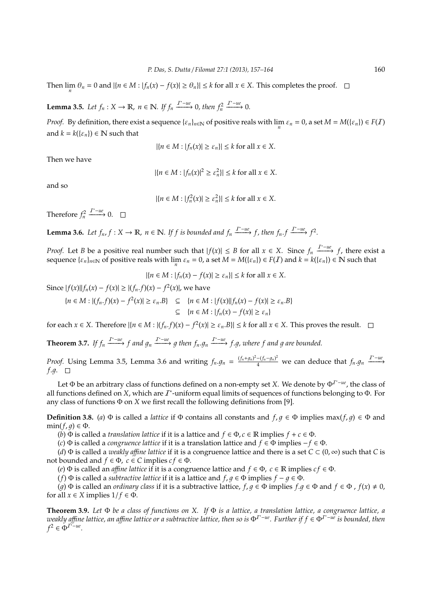Then  $\lim_{n} \theta_n = 0$  and  $|\{n \in M : |f_n(x) - f(x)| \ge \theta_n\}| \le k$  for all  $x \in X$ . This completes the proof.

**Lemma 3.5.** *Let*  $f_n: X \to \mathbb{R}$ ,  $n \in \mathbb{N}$ . If  $f_n \xrightarrow{T^*-\mathfrak{ue}} 0$ , then  $f_n^2$  $\xrightarrow{I^*-ue}$  0.

*Proof.* By definition, there exist a sequence  $\{\varepsilon_n\}_{n\in\mathbb{N}}$  of positive reals with  $\lim_n \varepsilon_n = 0$ , a set  $M = M(\{\varepsilon_n\}) \in F(I)$ and  $k = k({\epsilon_n}) \in \mathbb{N}$  such that

$$
|\{n \in M : |f_n(x)| \ge \varepsilon_n\}| \le k \text{ for all } x \in X.
$$

Then we have

 $|{n \in M : |f_n(x)|^2 \ge \varepsilon_n^2}| \le k \text{ for all } x \in X.$ 

and so

 $|\{n \in M : |f_n^2(x)| \ge \varepsilon_n^2\}| \le k \text{ for all } x \in X.$ 

Therefore  $f_n^2$  $\xrightarrow{I^*-ue} 0.$ 

**Lemma 3.6.** *Let*  $f_n$ ,  $f: X \to \mathbb{R}$ ,  $n \in \mathbb{N}$ . If  $f$  is bounded and  $f_n \xrightarrow{T^{-u\ell}} f$ , then  $f_n \cdot f \xrightarrow{T^{-u\ell}} f^2$ .

*Proof.* Let *B* be a positive real number such that  $|f(x)| \leq B$  for all  $x \in X$ . Since  $f_n \xrightarrow{T^+ \to \infty} f$ , there exist a sequence  $\{\varepsilon_n\}_{n\in\mathbb{N}}$  of positive reals with  $\lim_n \varepsilon_n = 0$ , a set  $M = M(\{\varepsilon_n\}) \in F(\mathcal{I})$  and  $k = k(\{\varepsilon_n\}) \in \mathbb{N}$  such that

$$
|\{n \in M : |f_n(x) - f(x)| \ge \varepsilon_n\}| \le k \text{ for all } x \in X.
$$

Since  $|f(x)||f_n(x) - f(x)| \ge |(f_n.f)(x) - f^2(x)|$ , we have

 ${n \in M : |(f_n.f)(x) - f^2(x)| \ge \varepsilon_n.B} \subseteq {n \in M : |f(x)||f_n(x) - f(x)| \ge \varepsilon_n.B}$ ⊆ {*n* ∈ *M* : | *fn*(*x*) − *f*(*x*)| ≥ ε*n*}

for each  $x \in X$ . Therefore  $|\{n \in M : |(f_n.f)(x) - f^2(x)| \ge \varepsilon_n.B\}| \le k$  for all  $x \in X$ . This proves the result.

**Theorem 3.7.** If  $f_n \xrightarrow{I^*-\iota e} f$  and  $g_n \xrightarrow{I^*-\iota e} g$  then  $f_n.g_n \xrightarrow{I^*-\iota e} f.g$ , where f and g are bounded.

*Proof.* Using Lemma 3.5, Lemma 3.6 and writing  $f_n \cdot g_n = \frac{(f_n + g_n)^2 - (f_n - g_n)^2}{4}$  we can deduce that  $f_n \cdot g_n \xrightarrow{I^* - ue}$ *f.g.*  $\square$ 

Let Φ be an arbitrary class of functions defined on a non-empty set *X*. We denote by Φ<sup>I</sup> <sup>∗</sup>−*ue*, the class of all functions defined on *X*, which are  $I^*$ -uniform equal limits of sequences of functions belonging to  $\Phi$ . For any class of functions Φ on *X* we first recall the following definitions from [9].

**Definition 3.8.** (*a*)  $\Phi$  is called a *lattice* if  $\Phi$  contains all constants and  $f, g \in \Phi$  implies max( $f, g$ )  $\in \Phi$  and  $min(f, q) \in \Phi$ .

(*b*)  $\Phi$  is called a *translation lattice* if it is a lattice and  $f \in \Phi$ ,  $c \in \mathbb{R}$  implies  $f + c \in \Phi$ .

(*c*) Φ is called a *congruence lattice* if it is a translation lattice and *f* ∈ Φ implies −*f* ∈ Φ.

(*d*)  $\Phi$  is called a *weakly affine lattice* if it is a congruence lattice and there is a set  $C \subset (0, \infty)$  such that *C* is not bounded and  $f \in \Phi$ ,  $c \in C$  implies  $cf \in \Phi$ .

(*e*)  $\Phi$  is called an *affine lattice* if it is a congruence lattice and  $f \in \Phi$ ,  $c \in \mathbb{R}$  implies  $cf \in \Phi$ .

(*f*)  $\Phi$  is called a *subtractive lattice* if it is a lattice and  $f, g \in \Phi$  implies  $f - g \in \Phi$ .

(*g*)  $\Phi$  is called an *ordinary class* if it is a subtractive lattice,  $f, g \in \Phi$  implies  $f, g \in \Phi$  and  $f \in \Phi$ ,  $f(x) \neq 0$ , for all  $x \in X$  implies  $1/f \in \Phi$ .

**Theorem 3.9.** *Let* Φ *be a class of functions on X. If* Φ *is a lattice, a translation lattice, a congruence lattice, a weakly a*ffi*ne lattice, an a*ffi*ne lattice or a subtractive lattice, then so is* Φ<sup>I</sup> <sup>∗</sup>−*ue. Further if f* ∈ Φ<sup>I</sup> <sup>∗</sup>−*ue is bounded, then*  $f^2 \in \Phi^{I^* - ue}$ .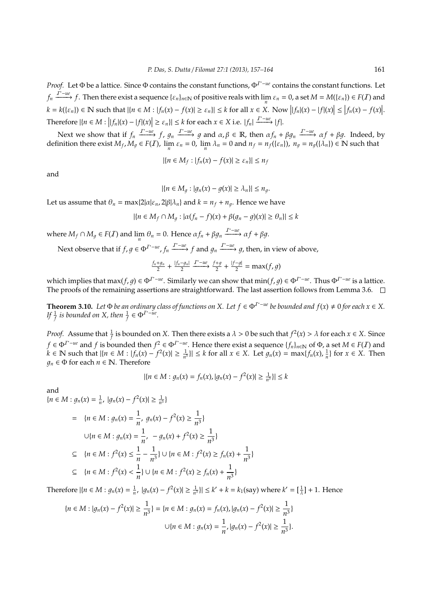*Proof.* Let Φ be a lattice. Since Φ contains the constant functions, Φ<sup>T∗−*ue*</sup> contains the constant functions. Let  $f_n \xrightarrow{I^*-\mathfrak{ue}} f$ . Then there exist a sequence  $\{\varepsilon_n\}_{n\in\mathbb{N}}$  of positive reals with  $\lim_n \varepsilon_n = 0$ , a set  $M = M(\{\varepsilon_n\}) \in F(I)$  and  $k = k(\{\varepsilon_n\}) \in \mathbb{N}$  such that  $|\{n \in M : |f_n(x) - f(x)| \ge \varepsilon_n\}| \le k$  for all  $x \in X$ . Now  $||f_n|(x) - |f|(x)|| \le |f_n(x) - f(x)|$ . Therefore  $|\{n \in M : |f_n|(x) - |f|(x)| \ge \varepsilon_n\}| \le k$  for each  $x \in X$  i.e.  $|f_n| \xrightarrow{T-u\varepsilon} |f|$ .

Next we show that if  $f_n \xrightarrow{T^+ - ue} f$ ,  $g_n \xrightarrow{T^* - ue} g$  and  $\alpha, \beta \in \mathbb{R}$ , then  $\alpha f_n + \beta g_n \xrightarrow{T^* - ue} \alpha f + \beta g$ . Indeed, by definition there exist  $M_f$ ,  $M_g \in F(\mathcal{I})$ ,  $\lim_n \varepsilon_n = 0$ ,  $\lim_n \lambda_n = 0$  and  $n_f = n_f(\{\varepsilon_n\})$ ,  $n_g = n_g(\{\lambda_n\}) \in \mathbb{N}$  such that

$$
|\{n \in M_f : |f_n(x) - f(x)| \ge \varepsilon_n\}| \le n_j
$$

and

$$
|\{n\in M_g: |g_n(x)-g(x)|\geq \lambda_n\}|\leq n_g.
$$

Let us assume that  $\theta_n = \max\{2|\alpha|\varepsilon_n, 2|\beta|\lambda_n\}$  and  $k = n_f + n_g$ . Hence we have

$$
|\{n \in M_f \cap M_g : |\alpha(f_n - f)(x) + \beta(g_n - g)(x)| \ge \theta_n\}| \le k
$$

where  $M_f \cap M_g \in F(\mathcal{I})$  and  $\lim_n \theta_n = 0$ . Hence  $\alpha f_n + \beta g_n \xrightarrow{I^*-\mathfrak{u}e} \alpha f + \beta g$ .

Next observe that if  $f, g \in \Phi^{I^* - ue}, f_n \xrightarrow{I^* - ue} f$  and  $g_n \xrightarrow{I^* - ue} g$ , then, in view of above,

$$
\tfrac{f_n+g_n}{2}+\tfrac{|f_n-g_n|}{2}\xrightarrow{T^\ast-ue} \tfrac{f+g}{2}+\tfrac{|f-g|}{2}=\max(f,g)
$$

which implies that max $(f, g) \in \Phi^{I^* - ue}$ . Similarly we can show that  $min(f, g) \in \Phi^{I^* - ue}$ . Thus  $\Phi^{I^* - ue}$  is a lattice. The proofs of the remaining assertions are straightforward. The last assertion follows from Lemma 3.6.  $\Box$ 

**Theorem 3.10.** Let  $\Phi$  *be an ordinary class of functions on* X. Let  $f \in \Phi^{I^*-\text{ue}}$  *be bounded and*  $f(x) ≠ 0$  *for each*  $x ∈ X$ . *If*  $\frac{1}{f}$  is bounded on X, then  $\frac{1}{f} \in \Phi^{I^* - ue}$ .

*Proof.* Assume that  $\frac{1}{f}$  is bounded on *X*. Then there exists a  $\lambda > 0$  be such that  $f^2(x) > \lambda$  for each  $x \in X$ . Since *f* ∈  $\Phi^{I^*-\mu e}$  and *f* is bounded then  $f^2 \in \Phi^{I^*-\mu e}$ . Hence there exist a sequence  $\{f_n\}_{n\in \mathbb{N}}$  of  $\Phi$ , a set  $M \in F(I)$  and  $k \in \mathbb{N}$  such that  $|\{n \in M : |f_n(x) - f^2(x)| \ge \frac{1}{n^3}\}| \le k$  for all  $x \in X$ . Let  $g_n(x) = \max\{f_n(x), \frac{1}{n}\}\$ for  $x \in X$ . Then  $q_n \in \Phi$  for each  $n \in \mathbb{N}$ . Therefore

$$
|\{n \in M : g_n(x) = f_n(x), |g_n(x) - f^2(x)| \ge \frac{1}{n^3}\}| \le k
$$

and

$$
\{n \in M : g_n(x) = \frac{1}{n}, |g_n(x) - f^2(x)| \ge \frac{1}{n^3}\}\
$$
  
\n
$$
= \{n \in M : g_n(x) = \frac{1}{n}, g_n(x) - f^2(x) \ge \frac{1}{n^3}\}\
$$
  
\n
$$
\cup \{n \in M : g_n(x) = \frac{1}{n}, -g_n(x) + f^2(x) \ge \frac{1}{n^3}\}\
$$
  
\n
$$
\subseteq \{n \in M : f^2(x) \le \frac{1}{n} - \frac{1}{n^3}\} \cup \{n \in M : f^2(x) \ge f_n(x) + \frac{1}{n^3}\}\
$$
  
\n
$$
\subseteq \{n \in M : f^2(x) < \frac{1}{n}\} \cup \{n \in M : f^2(x) \ge f_n(x) + \frac{1}{n^3}\}\
$$

Therefore  $|\{n \in M : g_n(x) = \frac{1}{n}, |g_n(x) - f^2(x)| ≥ \frac{1}{n^3}\}| ≤ k' + k = k_1$ (say) where  $k' = [\frac{1}{\lambda}] + 1$ . Hence

$$
\{n \in M : |g_n(x) - f^2(x)| \ge \frac{1}{n^3}\} = \{n \in M : g_n(x) = f_n(x), |g_n(x) - f^2(x)| \ge \frac{1}{n^3}\}
$$

$$
\cup \{n \in M : g_n(x) = \frac{1}{n}, |g_n(x) - f^2(x)| \ge \frac{1}{n^3}\}.
$$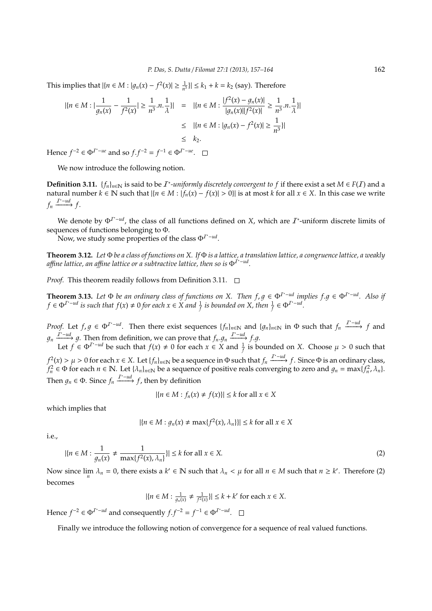This implies that  $|\{n \in M : |g_n(x) - f^2(x)| \ge \frac{1}{n^3}\}|$  ≤  $k_1 + k = k_2$  (say). Therefore

$$
|\{n \in M : |\frac{1}{g_n(x)} - \frac{1}{f^2(x)}| \ge \frac{1}{n^3} \cdot n \cdot \frac{1}{\lambda}\}| = |\{n \in M : \frac{|f^2(x) - g_n(x)|}{|g_n(x)||f^2(x)|} \ge \frac{1}{n^3} \cdot n \cdot \frac{1}{\lambda}\}|
$$
  
\$\le |\{n \in M : |g\_n(x) - f^2(x)| \ge \frac{1}{n^3}\}|\$  
\$\le k\_2\$.

Hence *f*<sup>-2</sup> ∈  $\Phi^{T^* - ue}$  and so *f*.*f*<sup>-2</sup> = *f*<sup>-1</sup> ∈  $\Phi^{T^* - ue}$ .

We now introduce the following notion.

**Definition 3.11.**  $\{f_n\}_{n\in\mathbb{N}}$  is said to be  $I^*$ -uniformly discretely convergent to f if there exist a set  $M \in F(I)$  and a natural number  $k \in \mathbb{N}$  such that  $|\{n \in M : |f_n(x) - f(x)| > 0\}|$  is at most  $k$  for all  $x \in X$ . In this case we write  $f_n \xrightarrow{I^* - ud} f$ .

We denote by  $\Phi^{T^*-ud}$ , the class of all functions defined on *X*, which are  $\mathcal{I}^*$ -uniform discrete limits of sequences of functions belonging to Φ.

Now, we study some properties of the class Φ<sup>*T*∗−*ud*</sup>.

**Theorem 3.12.** *Let* Φ *be a class of functions on X. If* Φ *is a lattice, a translation lattice, a congruence lattice, a weakly a*ffi*ne lattice, an a*ffi*ne lattice or a subtractive lattice, then so is* Φ<sup>I</sup> <sup>∗</sup>−*ud .*

*Proof.* This theorem readily follows from Definition 3.11.  $\Box$ 

**Theorem 3.13.** Let  $\Phi$  be an ordinary class of functions on X. Then  $f, g \in \Phi^{I^*-ud}$  implies  $f, g \in \Phi^{I^*-ud}$ . Also if  $f \in \Phi^{I^* - ud}$  is such that  $f(x) \neq 0$  for each  $x \in X$  and  $\frac{1}{f}$  is bounded on X, then  $\frac{1}{f} \in \Phi^{I^* - ud}$ .

*Proof.* Let  $f, g \in \Phi^{T^* - ud}$ . Then there exist sequences  $\{f_n\}_{n \in \mathbb{N}}$  and  $\{g_n\}_{n \in \mathbb{N}}$  in  $\Phi$  such that  $f_n \xrightarrow{T^* - ud} f$  and  $g_n \xrightarrow{I^*-\text{ud}} g$ . Then from definition, we can prove that  $f_n.g_n \xrightarrow{I^*-\text{ud}} f.g.$ Let  $f \in \Phi^{T^* - ud}$  be such that  $f(x) \neq 0$  for each  $x \in X$  and  $\frac{1}{f}$  is bounded on *X*. Choose  $\mu > 0$  such that  $f^2(x) > \mu > 0$  for each  $x \in X$ . Let  $\{f_n\}_{n \in \mathbb{N}}$  be a sequence in Φ such that  $f_n \xrightarrow{I^*-ud} f$ . Since Φ is an ordinary class,

 $f_n^2 \in \Phi$  for each  $n \in \mathbb{N}$ . Let  $\{\lambda_n\}_{n \in \mathbb{N}}$  be a sequence of positive reals converging to zero and  $g_n = \max\{f_n^2, \lambda_n\}$ . Then  $g_n \in \Phi$ . Since  $f_n \xrightarrow{I^* - ud} f$ , then by definition

$$
|\{n \in M : f_n(x) \neq f(x)\}| \leq k \text{ for all } x \in X
$$

which implies that

$$
|\{n \in M : g_n(x) \neq \max\{f^2(x), \lambda_n\}\}| \leq k \text{ for all } x \in X
$$

i.e.,

$$
|\{n \in M : \frac{1}{g_n(x)} \neq \frac{1}{\max\{f^2(x), \lambda_n\}}\}| \leq k \text{ for all } x \in X.
$$
 (2)

Now since  $\lim_{n} \lambda_n = 0$ , there exists a  $k' \in \mathbb{N}$  such that  $\lambda_n < \mu$  for all  $n \in M$  such that  $n \geq k'$ . Therefore (2) becomes

$$
|\{n \in M : \frac{1}{g_n(x)} \neq \frac{1}{f^2(x)}\}| \leq k + k'
$$
 for each  $x \in X$ .

Hence *f*<sup>-2</sup> ∈  $\Phi^{I^* - ud}$  and consequently *f*.*f*<sup>-2</sup> = *f*<sup>-1</sup> ∈  $\Phi^{I^* - ud}$ .

Finally we introduce the following notion of convergence for a sequence of real valued functions.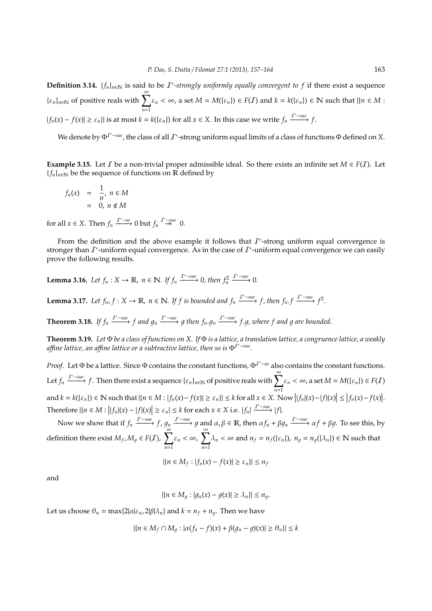**Definition 3.14.**  $\{f_n\}_{n\in\mathbb{N}}$  is said to be  $I^*$ -strongly uniformly equally convergent to f if there exist a sequence  ${\epsilon_n}_{n \in \mathbb{N}}$  of positive reals with  $\sum_{k=1}^{\infty} \epsilon_k < \infty$ , a set  $M = M({\epsilon_n}) \in F(I)$  and  $k = k({\epsilon_n}) \in \mathbb{N}$  such that  ${n \in M}$ : *n*=1  $|f_n(x) - f(x)| \ge \varepsilon_n$ }| is at most  $k = k({\varepsilon_n})$  for all  $x \in X$ . In this case we write  $f_n \xrightarrow{T^* \text{-} \text{suc}} f$ .

We denote by  $\Phi^{I^*-sue}$ , the class of all  $I^*$ -strong uniform equal limits of a class of functions  $\Phi$  defined on X.

**Example 3.15.** Let *I* be a non-trivial proper admissible ideal. So there exists an infinite set  $M \in F(I)$ . Let  ${f_n}_{n \in \mathbb{N}}$  be the sequence of functions on R defined by

$$
f_n(x) = \frac{1}{n}, n \in M
$$
  
= 0,  $n \notin M$ 

for all  $x \in X$ . Then  $f_n \xrightarrow{T^* - ue} 0$  but  $f_n \xrightarrow{T^* - sue} 0$ .

From the definition and the above example it follows that  $I^*$ -strong uniform equal convergence is stronger than  $I^*$ -uniform equal convergence. As in the case of  $I^*$ -uniform equal convergence we can easily prove the following results.

**Lemma 3.16.** *Let*  $f_n : X \to \mathbb{R}$ ,  $n \in \mathbb{N}$ . If  $f_n \xrightarrow{T^*-\text{sure}} 0$ , then  $f_n^2$  $\xrightarrow{T^*-sue} 0.$ 

**Lemma 3.17.** Let  $f_n$ ,  $f: X \to \mathbb{R}$ ,  $n \in \mathbb{N}$ . If  $f$  is bounded and  $f_n \xrightarrow{T^*-\text{sue}} f$ , then  $f_n$ ,  $f \xrightarrow{T^*-\text{sue}} f^2$ .

**Theorem 3.18.** If  $f_n \xrightarrow{T^*-\text{sue}} f$  and  $g_n \xrightarrow{T^*-\text{sue}} g$  then  $f_n.g_n \xrightarrow{T^*-\text{sue}} f.g$ , where f and g are bounded.

**Theorem 3.19.** *Let* Φ *be a class of functions on X. If* Φ *is a lattice, a translation lattice, a congruence lattice, a weakly a*ffi*ne lattice, an a*ffi*ne lattice or a subtractive lattice, then so is* Φ<sup>I</sup> <sup>∗</sup>−*sue .*

*Proof.* Let Φ be a lattice. Since Φ contains the constant functions, Φ<sup>T<sup>\*</sup><sup>-*ue*</sup> also contains the constant functions.</sup> Let  $f_n \xrightarrow{T^*-sue} f$ . Then there exist a sequence  $\{\varepsilon_n\}_{n\in\mathbb{N}}$  of positive reals with  $\sum_{k=1}^{\infty} \varepsilon_n < \infty$ , a set  $M = M(\{\varepsilon_n\}) \in F(I)$ *n*=1 and  $k = k(\{\varepsilon_n\}) \in \mathbb{N}$  such that  $|\{n \in M : |f_n(x) - f(x)| \ge \varepsilon_n\}| \le k$  for all  $x \in X$ . Now  $||f_n|(x) - |f|(x)| \le |f_n(x) - f(x)|$ . Therefore  $|\{n \in M : |f_n|(x) - |f|(x)| \ge \varepsilon_n \} \le k$  for each  $x \in X$  i.e.  $|f_n| \xrightarrow{T^* \text{-}sue} |f|$ .

Now we show that if  $f_n \xrightarrow{I^*-\text{sue}} f$ ,  $g_n \xrightarrow{I^*-\text{sue}} g$  and  $\alpha, \beta \in \mathbb{R}$ , then  $\alpha f_n + \beta g_n \xrightarrow{I^*-\text{sue}} \alpha f + \beta g$ . To see this, by definition there exist  $M_f$ ,  $M_g \in F(\mathcal{I})$ ,  $\sum_{n=1}^{\infty}$ *n*=1  $\varepsilon_n < \infty$ ,  $\sum_{n=1}^{\infty}$ *n*=1  $\lambda_n < \infty$  and  $n_f = n_f({\{\varepsilon_n\}})$ ,  $n_g = n_g({\{\lambda_n\}}) \in \mathbb{N}$  such that

$$
|\{n \in M_f : |f_n(x) - f(x)| \ge \varepsilon_n\}| \le n_f
$$

and

$$
|\{n\in M_g: |g_n(x)-g(x)|\geq \lambda_n\}|\leq n_g.
$$

Let us choose  $\theta_n = \max\{2|\alpha|\varepsilon_n, 2|\beta|\lambda_n\}$  and  $k = n_f + n_g$ . Then we have

$$
|\{n \in M_f \cap M_g : |\alpha(f_n - f)(x) + \beta(g_n - g)(x)| \ge \theta_n\}| \le k
$$